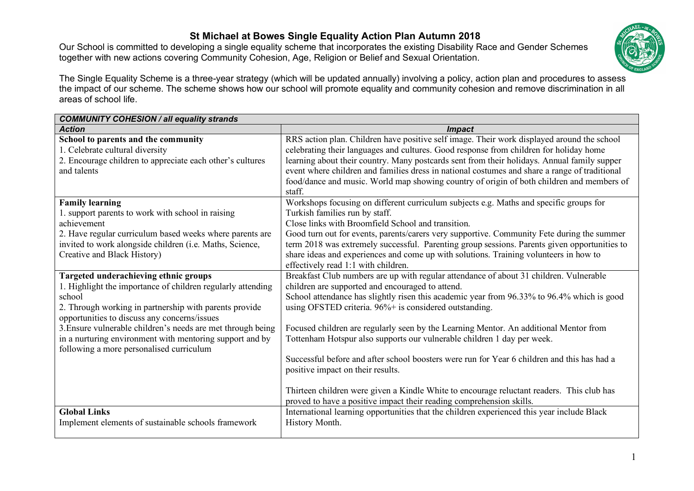## **St Michael at Bowes Single Equality Action Plan Autumn 2018**

Our School is committed to developing a single equality scheme that incorporates the existing Disability Race and Gender Schemes together with new actions covering Community Cohesion, Age, Religion or Belief and Sexual Orientation.



The Single Equality Scheme is a three-year strategy (which will be updated annually) involving a policy, action plan and procedures to assess the impact of our scheme. The scheme shows how our school will promote equality and community cohesion and remove discrimination in all areas of school life.

| <b>COMMUNITY COHESION / all equality strands</b>            |                                                                                               |
|-------------------------------------------------------------|-----------------------------------------------------------------------------------------------|
| <b>Action</b>                                               | <i>Impact</i>                                                                                 |
| School to parents and the community                         | RRS action plan. Children have positive self image. Their work displayed around the school    |
| 1. Celebrate cultural diversity                             | celebrating their languages and cultures. Good response from children for holiday home        |
| 2. Encourage children to appreciate each other's cultures   | learning about their country. Many postcards sent from their holidays. Annual family supper   |
| and talents                                                 | event where children and families dress in national costumes and share a range of traditional |
|                                                             | food/dance and music. World map showing country of origin of both children and members of     |
|                                                             | staff.                                                                                        |
| <b>Family learning</b>                                      | Workshops focusing on different curriculum subjects e.g. Maths and specific groups for        |
| 1. support parents to work with school in raising           | Turkish families run by staff.                                                                |
| achievement                                                 | Close links with Broomfield School and transition.                                            |
| 2. Have regular curriculum based weeks where parents are    | Good turn out for events, parents/carers very supportive. Community Fete during the summer    |
| invited to work alongside children (i.e. Maths, Science,    | term 2018 was extremely successful. Parenting group sessions. Parents given opportunities to  |
| Creative and Black History)                                 | share ideas and experiences and come up with solutions. Training volunteers in how to         |
|                                                             | effectively read 1:1 with children.                                                           |
| <b>Targeted underachieving ethnic groups</b>                | Breakfast Club numbers are up with regular attendance of about 31 children. Vulnerable        |
| 1. Highlight the importance of children regularly attending | children are supported and encouraged to attend.                                              |
| school                                                      | School attendance has slightly risen this academic year from 96.33% to 96.4% which is good    |
| 2. Through working in partnership with parents provide      | using OFSTED criteria. 96%+ is considered outstanding.                                        |
| opportunities to discuss any concerns/issues                |                                                                                               |
| 3. Ensure vulnerable children's needs are met through being | Focused children are regularly seen by the Learning Mentor. An additional Mentor from         |
| in a nurturing environment with mentoring support and by    | Tottenham Hotspur also supports our vulnerable children 1 day per week.                       |
| following a more personalised curriculum                    |                                                                                               |
|                                                             | Successful before and after school boosters were run for Year 6 children and this has had a   |
|                                                             | positive impact on their results.                                                             |
|                                                             |                                                                                               |
|                                                             | Thirteen children were given a Kindle White to encourage reluctant readers. This club has     |
|                                                             | proved to have a positive impact their reading comprehension skills.                          |
| <b>Global Links</b>                                         | International learning opportunities that the children experienced this year include Black    |
| Implement elements of sustainable schools framework         | History Month.                                                                                |
|                                                             |                                                                                               |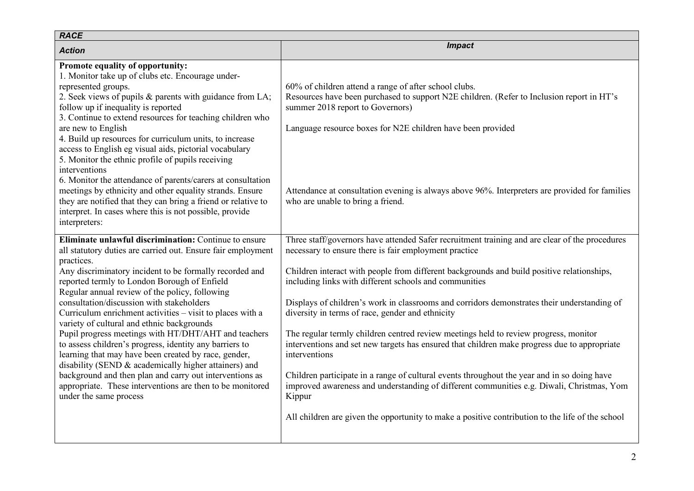| <b>RACE</b>                                                                                                                                                                                                                                                                                                                                                                                                                                                                  |                                                                                                                                                                                                                                                       |
|------------------------------------------------------------------------------------------------------------------------------------------------------------------------------------------------------------------------------------------------------------------------------------------------------------------------------------------------------------------------------------------------------------------------------------------------------------------------------|-------------------------------------------------------------------------------------------------------------------------------------------------------------------------------------------------------------------------------------------------------|
| <b>Action</b>                                                                                                                                                                                                                                                                                                                                                                                                                                                                | <b>Impact</b>                                                                                                                                                                                                                                         |
| Promote equality of opportunity:<br>1. Monitor take up of clubs etc. Encourage under-<br>represented groups.<br>2. Seek views of pupils & parents with guidance from LA;<br>follow up if inequality is reported<br>3. Continue to extend resources for teaching children who<br>are new to English<br>4. Build up resources for curriculum units, to increase<br>access to English eg visual aids, pictorial vocabulary<br>5. Monitor the ethnic profile of pupils receiving | 60% of children attend a range of after school clubs.<br>Resources have been purchased to support N2E children. (Refer to Inclusion report in HT's<br>summer 2018 report to Governors)<br>Language resource boxes for N2E children have been provided |
| interventions<br>6. Monitor the attendance of parents/carers at consultation<br>meetings by ethnicity and other equality strands. Ensure<br>they are notified that they can bring a friend or relative to<br>interpret. In cases where this is not possible, provide<br>interpreters:                                                                                                                                                                                        | Attendance at consultation evening is always above 96%. Interpreters are provided for families<br>who are unable to bring a friend.                                                                                                                   |
| Eliminate unlawful discrimination: Continue to ensure<br>all statutory duties are carried out. Ensure fair employment                                                                                                                                                                                                                                                                                                                                                        | Three staff/governors have attended Safer recruitment training and are clear of the procedures<br>necessary to ensure there is fair employment practice                                                                                               |
| practices.<br>Any discriminatory incident to be formally recorded and<br>reported termly to London Borough of Enfield<br>Regular annual review of the policy, following                                                                                                                                                                                                                                                                                                      | Children interact with people from different backgrounds and build positive relationships,<br>including links with different schools and communities                                                                                                  |
| consultation/discussion with stakeholders<br>Curriculum enrichment activities – visit to places with a<br>variety of cultural and ethnic backgrounds                                                                                                                                                                                                                                                                                                                         | Displays of children's work in classrooms and corridors demonstrates their understanding of<br>diversity in terms of race, gender and ethnicity                                                                                                       |
| Pupil progress meetings with HT/DHT/AHT and teachers<br>to assess children's progress, identity any barriers to<br>learning that may have been created by race, gender,<br>disability (SEND & academically higher attainers) and<br>background and then plan and carry out interventions as<br>appropriate. These interventions are then to be monitored<br>under the same process                                                                                           | The regular termly children centred review meetings held to review progress, monitor<br>interventions and set new targets has ensured that children make progress due to appropriate<br>interventions                                                 |
|                                                                                                                                                                                                                                                                                                                                                                                                                                                                              | Children participate in a range of cultural events throughout the year and in so doing have<br>improved awareness and understanding of different communities e.g. Diwali, Christmas, Yom<br>Kippur                                                    |
|                                                                                                                                                                                                                                                                                                                                                                                                                                                                              | All children are given the opportunity to make a positive contribution to the life of the school                                                                                                                                                      |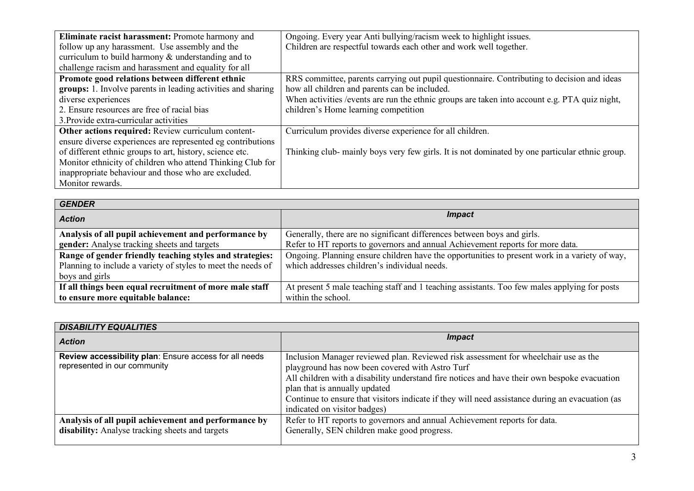| Eliminate racist harassment: Promote harmony and             | Ongoing. Every year Anti bullying/racism week to highlight issues.                             |
|--------------------------------------------------------------|------------------------------------------------------------------------------------------------|
| follow up any harassment. Use assembly and the               | Children are respectful towards each other and work well together.                             |
| curriculum to build harmony $\&$ understanding and to        |                                                                                                |
| challenge racism and harassment and equality for all         |                                                                                                |
| Promote good relations between different ethnic              | RRS committee, parents carrying out pupil questionnaire. Contributing to decision and ideas    |
| groups: 1. Involve parents in leading activities and sharing | how all children and parents can be included.                                                  |
| diverse experiences                                          | When activities / events are run the ethnic groups are taken into account e.g. PTA quiz night, |
| 2. Ensure resources are free of racial bias                  | children's Home learning competition                                                           |
| 3. Provide extra-curricular activities                       |                                                                                                |
| Other actions required: Review curriculum content-           | Curriculum provides diverse experience for all children.                                       |
| ensure diverse experiences are represented eg contributions  |                                                                                                |
| of different ethnic groups to art, history, science etc.     | Thinking club- mainly boys very few girls. It is not dominated by one particular ethnic group. |
| Monitor ethnicity of children who attend Thinking Club for   |                                                                                                |
| inappropriate behaviour and those who are excluded.          |                                                                                                |
| Monitor rewards.                                             |                                                                                                |

| <b>GENDER</b>                                                |                                                                                               |
|--------------------------------------------------------------|-----------------------------------------------------------------------------------------------|
| <b>Action</b>                                                | <i>Impact</i>                                                                                 |
| Analysis of all pupil achievement and performance by         | Generally, there are no significant differences between boys and girls.                       |
| <b>gender:</b> Analyse tracking sheets and targets           | Refer to HT reports to governors and annual Achievement reports for more data.                |
| Range of gender friendly teaching styles and strategies:     | Ongoing. Planning ensure children have the opportunities to present work in a variety of way, |
| Planning to include a variety of styles to meet the needs of | which addresses children's individual needs.                                                  |
| boys and girls                                               |                                                                                               |
| If all things been equal recruitment of more male staff      | At present 5 male teaching staff and 1 teaching assistants. Too few males applying for posts  |
| to ensure more equitable balance:                            | within the school.                                                                            |

| <b>DISABILITY EQUALITIES</b>                                                           |                                                                                                                                                                                                                                                                                                                                                                                                            |
|----------------------------------------------------------------------------------------|------------------------------------------------------------------------------------------------------------------------------------------------------------------------------------------------------------------------------------------------------------------------------------------------------------------------------------------------------------------------------------------------------------|
| <b>Action</b>                                                                          | <i>Impact</i>                                                                                                                                                                                                                                                                                                                                                                                              |
| Review accessibility plan: Ensure access for all needs<br>represented in our community | Inclusion Manager reviewed plan. Reviewed risk assessment for wheelchair use as the<br>playground has now been covered with Astro Turf<br>All children with a disability understand fire notices and have their own bespoke evacuation<br>plan that is annually updated<br>Continue to ensure that visitors indicate if they will need assistance during an evacuation (as<br>indicated on visitor badges) |
| Analysis of all pupil achievement and performance by                                   | Refer to HT reports to governors and annual Achievement reports for data.                                                                                                                                                                                                                                                                                                                                  |
| disability: Analyse tracking sheets and targets                                        | Generally, SEN children make good progress.                                                                                                                                                                                                                                                                                                                                                                |